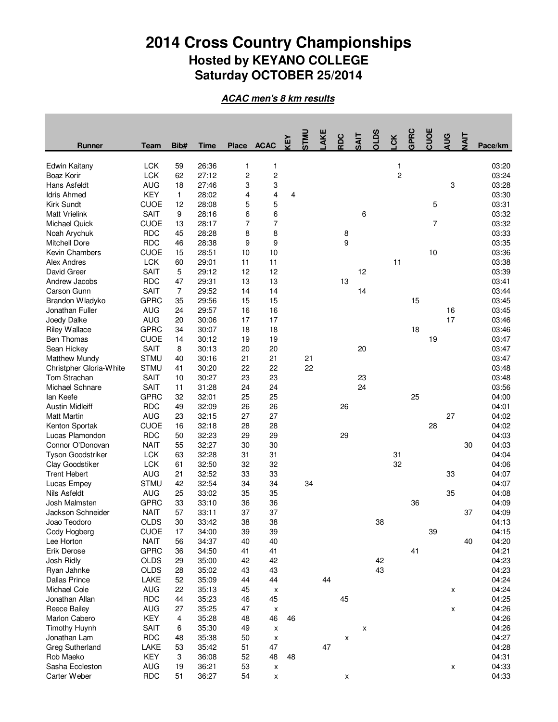## **2014 Cross Country Championships Hosted by KEYANO COLLEGE Saturday OCTOBER 25/2014**

**ACAC men's 8 km results**

| <b>Runner</b>           | <b>Team</b> | Bib#         | <b>Time</b> | <b>Place</b>   | <b>ACAC</b>             | KEY | <b>UNLS</b> | AKE | RDC | <b>SAIT</b> | OLDS | LCK | GPRC | CUOE           | <b>AUG</b> | NAIT | Pace/km |
|-------------------------|-------------|--------------|-------------|----------------|-------------------------|-----|-------------|-----|-----|-------------|------|-----|------|----------------|------------|------|---------|
| Edwin Kaitany           | <b>LCK</b>  | 59           | 26:36       | 1              | 1                       |     |             |     |     |             |      | 1   |      |                |            |      | 03:20   |
| Boaz Korir              | <b>LCK</b>  | 62           | 27:12       | $\overline{c}$ | $\overline{\mathbf{c}}$ |     |             |     |     |             |      | 2   |      |                |            |      | 03:24   |
| Hans Asfeldt            | <b>AUG</b>  | 18           | 27:46       | 3              | 3                       |     |             |     |     |             |      |     |      |                | 3          |      | 03:28   |
| <b>Idris Ahmed</b>      | <b>KEY</b>  | $\mathbf{1}$ | 28:02       | 4              | 4                       | 4   |             |     |     |             |      |     |      |                |            |      | 03:30   |
| Kirk Sundt              | <b>CUOE</b> | 12           | 28:08       | 5              | 5                       |     |             |     |     |             |      |     |      | 5              |            |      | 03:31   |
| <b>Matt Vrielink</b>    | <b>SAIT</b> | 9            | 28:16       | 6              | 6                       |     |             |     |     | 6           |      |     |      |                |            |      | 03:32   |
| <b>Michael Quick</b>    | <b>CUOE</b> | 13           | 28:17       | 7              | 7                       |     |             |     |     |             |      |     |      | $\overline{7}$ |            |      | 03:32   |
| Noah Arychuk            | <b>RDC</b>  | 45           | 28:28       | 8              | 8                       |     |             |     | 8   |             |      |     |      |                |            |      | 03:33   |
| Mitchell Dore           | <b>RDC</b>  | 46           | 28:38       | 9              | 9                       |     |             |     | 9   |             |      |     |      |                |            |      | 03:35   |
| Kevin Chambers          | <b>CUOE</b> | 15           | 28:51       | 10             | 10                      |     |             |     |     |             |      |     |      | 10             |            |      | 03:36   |
| Alex Andres             | <b>LCK</b>  | 60           | 29:01       | 11             | 11                      |     |             |     |     |             |      | 11  |      |                |            |      | 03:38   |
| David Greer             | <b>SAIT</b> | 5            | 29:12       | 12             | 12                      |     |             |     |     | 12          |      |     |      |                |            |      | 03:39   |
| Andrew Jacobs           | <b>RDC</b>  | 47           | 29:31       | 13             | 13                      |     |             |     | 13  |             |      |     |      |                |            |      | 03:41   |
| Carson Gunn             | <b>SAIT</b> | 7            | 29:52       | 14             | 14                      |     |             |     |     | 14          |      |     |      |                |            |      | 03:44   |
| Brandon Wladyko         | <b>GPRC</b> | 35           | 29:56       | 15             | 15                      |     |             |     |     |             |      |     | 15   |                |            |      | 03:45   |
| Jonathan Fuller         | <b>AUG</b>  | 24           | 29:57       | 16             | 16                      |     |             |     |     |             |      |     |      |                | 16         |      | 03:45   |
| Joedy Dalke             | <b>AUG</b>  | 20           | 30:06       | 17             | 17                      |     |             |     |     |             |      |     |      |                | 17         |      | 03:46   |
| <b>Riley Wallace</b>    | <b>GPRC</b> | 34           | 30:07       | 18             | 18                      |     |             |     |     |             |      |     | 18   |                |            |      | 03:46   |
| <b>Ben Thomas</b>       | <b>CUOE</b> | 14           | 30:12       | 19             | 19                      |     |             |     |     |             |      |     |      | 19             |            |      | 03:47   |
| Sean Hickey             | <b>SAIT</b> | 8            | 30:13       | 20             | 20                      |     |             |     |     | 20          |      |     |      |                |            |      | 03:47   |
| <b>Matthew Mundy</b>    | <b>STMU</b> | 40           | 30:16       | 21             | 21                      |     | 21          |     |     |             |      |     |      |                |            |      | 03:47   |
| Christpher Gloria-White | <b>STMU</b> | 41           | 30:20       | 22             | 22                      |     | 22          |     |     |             |      |     |      |                |            |      | 03:48   |
| Tom Strachan            | <b>SAIT</b> | 10           | 30:27       | 23             | 23                      |     |             |     |     | 23          |      |     |      |                |            |      | 03:48   |
| Michael Schnare         | <b>SAIT</b> | 11           | 31:28       | 24             | 24                      |     |             |     |     | 24          |      |     |      |                |            |      | 03:56   |
| lan Keefe               | <b>GPRC</b> | 32           | 32:01       | 25             | 25                      |     |             |     |     |             |      |     | 25   |                |            |      | 04:00   |
| <b>Austin Midleiff</b>  | <b>RDC</b>  | 49           | 32:09       | 26             | 26                      |     |             |     | 26  |             |      |     |      |                |            |      | 04:01   |
| <b>Matt Martin</b>      | <b>AUG</b>  | 23           | 32:15       | 27             | 27                      |     |             |     |     |             |      |     |      |                | 27         |      | 04:02   |
| Kenton Sportak          | <b>CUOE</b> | 16           | 32:18       | 28             | 28                      |     |             |     |     |             |      |     |      | 28             |            |      | 04:02   |
| Lucas Plamondon         | <b>RDC</b>  | 50           | 32:23       | 29             | 29                      |     |             |     | 29  |             |      |     |      |                |            |      | 04:03   |
| Connor O'Donovan        | <b>NAIT</b> | 55           | 32:27       | 30             | 30                      |     |             |     |     |             |      |     |      |                |            | 30   | 04:03   |
| Tyson Goodstriker       | <b>LCK</b>  | 63           | 32:28       | 31             | 31                      |     |             |     |     |             |      | 31  |      |                |            |      | 04:04   |
| Clay Goodstiker         | <b>LCK</b>  | 61           | 32:50       | 32             | 32                      |     |             |     |     |             |      | 32  |      |                |            |      | 04:06   |
| <b>Trent Hebert</b>     | <b>AUG</b>  | 21           | 32:52       | 33             | 33                      |     |             |     |     |             |      |     |      |                | 33         |      | 04:07   |
| Lucas Empey             | <b>STMU</b> | 42           | 32:54       | 34             | 34                      |     | 34          |     |     |             |      |     |      |                |            |      | 04:07   |
| <b>Nils Asfeldt</b>     | <b>AUG</b>  | 25           | 33:02       | 35             | 35                      |     |             |     |     |             |      |     |      |                | 35         |      | 04:08   |
| Josh Malmsten           | <b>GPRC</b> | 33           | 33:10       | 36             | 36                      |     |             |     |     |             |      |     | 36   |                |            |      | 04:09   |
| Jackson Schneider       | <b>NAIT</b> | 57           | 33:11       | 37             | 37                      |     |             |     |     |             |      |     |      |                |            | 37   | 04:09   |
| Joao Teodoro            | <b>OLDS</b> | 30           | 33:42       | 38             | 38                      |     |             |     |     |             | 38   |     |      |                |            |      | 04:13   |
| Cody Hogberg            | <b>CUOE</b> | 17           | 34:00       | 39             | 39                      |     |             |     |     |             |      |     |      | 39             |            |      | 04:15   |
| Lee Horton              | <b>NAIT</b> | 56           | 34:37       | 40             | 40                      |     |             |     |     |             |      |     |      |                |            | 40   | 04:20   |
| Erik Derose             | <b>GPRC</b> | 36           | 34:50       | 41             | 41                      |     |             |     |     |             |      |     | 41   |                |            |      | 04:21   |
| Josh Ridly              | <b>OLDS</b> | 29           | 35:00       | 42             | 42                      |     |             |     |     |             | 42   |     |      |                |            |      | 04:23   |
| Ryan Jahnke             | OLDS        | 28           | 35:02       | 43             | 43                      |     |             |     |     |             | 43   |     |      |                |            |      | 04:23   |
| <b>Dallas Prince</b>    | LAKE        | 52           | 35:09       | 44             | 44                      |     |             | 44  |     |             |      |     |      |                |            |      | 04:24   |
| Michael Cole            | <b>AUG</b>  | 22           | 35:13       | 45             | X                       |     |             |     |     |             |      |     |      |                | x          |      | 04:24   |
| Jonathan Allan          | <b>RDC</b>  | 44           | 35:23       | 46             | 45                      |     |             |     | 45  |             |      |     |      |                |            |      | 04:25   |
| <b>Reece Bailey</b>     | <b>AUG</b>  | 27           | 35:25       | 47             | x                       |     |             |     |     |             |      |     |      |                | X          |      | 04:26   |
| Marlon Cabero           | <b>KEY</b>  | 4            | 35:28       | 48             | 46                      | 46  |             |     |     |             |      |     |      |                |            |      | 04:26   |
| <b>Timothy Huynh</b>    | SAIT        | 6            | 35:30       | 49             | X                       |     |             |     |     | x           |      |     |      |                |            |      | 04:26   |
| Jonathan Lam            | <b>RDC</b>  | 48           | 35:38       | 50             | X                       |     |             |     | x   |             |      |     |      |                |            |      | 04:27   |
| <b>Greg Sutherland</b>  | LAKE        | 53           | 35:42       | 51             | 47                      |     |             | 47  |     |             |      |     |      |                |            |      | 04:28   |
| Rob Maeko               | KEY         | 3            | 36:08       | 52             | 48                      | 48  |             |     |     |             |      |     |      |                |            |      | 04:31   |
| Sasha Eccleston         | <b>AUG</b>  | 19           | 36:21       | 53             | $\pmb{\mathsf{x}}$      |     |             |     |     |             |      |     |      |                | x          |      | 04:33   |
| Carter Weber            | <b>RDC</b>  | 51           | 36:27       | 54             | X                       |     |             |     | x   |             |      |     |      |                |            |      | 04:33   |